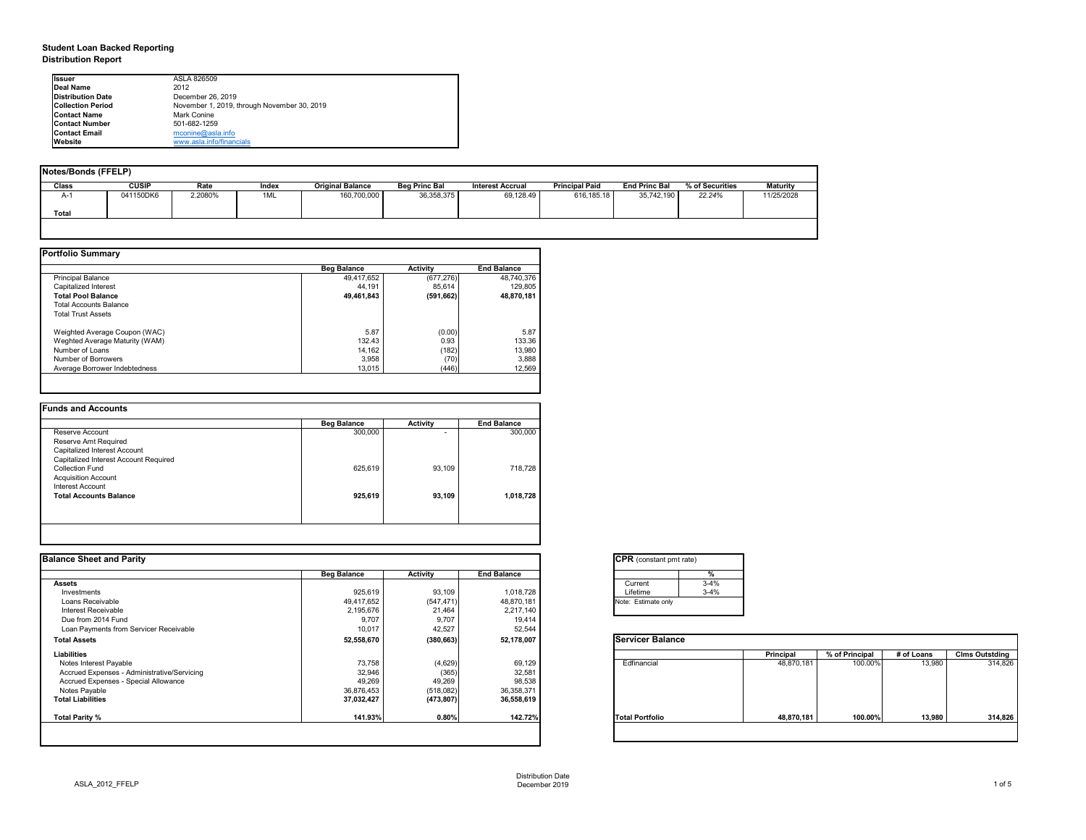# **Student Loan Backed Reporting Distribution Report**

| Notes/Bonds (FFELP) |              |         |       |                         |                      |                         |                       |                      |                 |                 |
|---------------------|--------------|---------|-------|-------------------------|----------------------|-------------------------|-----------------------|----------------------|-----------------|-----------------|
| <b>Class</b>        | <b>CUSIP</b> | Rate    | Index | <b>Original Balance</b> | <b>Beg Princ Bal</b> | <b>Interest Accrual</b> | <b>Principal Paid</b> | <b>End Princ Bal</b> | % of Securities | <b>Maturity</b> |
| A-1                 | 041150DK6    | 2.2080% | 1ML   | 160,700,000             | 36, 358, 375         | 69,128.49               | 616,185.18            | 35,742,190           | 22.24%          | 11/25/2028      |
| <b>Total</b>        |              |         |       |                         |                      |                         |                       |                      |                 |                 |
|                     |              |         |       |                         |                      |                         |                       |                      |                 |                 |

|                                | <b>Beg Balance</b> | <b>Activity</b> | <b>End Balance</b> |
|--------------------------------|--------------------|-----------------|--------------------|
| <b>Principal Balance</b>       | 49,417,652         | (677, 276)      | 48,740,376         |
| Capitalized Interest           | 44,191             | 85,614          | 129,805            |
| <b>Total Pool Balance</b>      | 49,461,843         | (591, 662)      | 48,870,181         |
| <b>Total Accounts Balance</b>  |                    |                 |                    |
| <b>Total Trust Assets</b>      |                    |                 |                    |
| Weighted Average Coupon (WAC)  | 5.87               | (0.00)          | 5.87               |
| Weghted Average Maturity (WAM) | 132.43             | 0.93            | 133.36             |
| Number of Loans                | 14,162             | (182)           | 13,980             |
| Number of Borrowers            | 3,958              | (70)            | 3,888              |
| Average Borrower Indebtedness  | 13,015             | (446)           | 12,569             |

|                                       | <b>Beg Balance</b> | <b>Activity</b> | <b>End Balance</b> |
|---------------------------------------|--------------------|-----------------|--------------------|
| Reserve Account                       | 300,000            | $\blacksquare$  | 300,000            |
| Reserve Amt Required                  |                    |                 |                    |
| Capitalized Interest Account          |                    |                 |                    |
| Capitalized Interest Account Required |                    |                 |                    |
| <b>Collection Fund</b>                | 625,619            | 93,109          | 718,728            |
| <b>Acquisition Account</b>            |                    |                 |                    |
| Interest Account                      |                    |                 |                    |
| <b>Total Accounts Balance</b>         | 925,619            | 93,109          | 1,018,728          |
|                                       |                    |                 |                    |

| tant pmt rate) |          |  |  |  |  |  |  |  |  |  |  |
|----------------|----------|--|--|--|--|--|--|--|--|--|--|
|                | $\%$     |  |  |  |  |  |  |  |  |  |  |
|                | $3 - 4%$ |  |  |  |  |  |  |  |  |  |  |
|                | $3 - 4%$ |  |  |  |  |  |  |  |  |  |  |
| te only        |          |  |  |  |  |  |  |  |  |  |  |
|                |          |  |  |  |  |  |  |  |  |  |  |

|      | <b>Principal</b> | % of Principal | # of Loans | <b>Clms Outstding</b> |
|------|------------------|----------------|------------|-----------------------|
| al   | 48,870,181       | 100.00%        | 13,980     | 314,826               |
| oilc | 48,870,181       | 100.00%        | 13,980     | 314,826               |

| <b>Ilssuer</b>           | ASLA 826509                                 |
|--------------------------|---------------------------------------------|
| Deal Name                | 2012                                        |
| <b>Distribution Date</b> | December 26, 2019                           |
| <b>Collection Period</b> | November 1, 2019, through November 30, 2019 |
| <b>Contact Name</b>      | Mark Conine                                 |
| <b>Contact Number</b>    | 501-682-1259                                |
| <b>Contact Email</b>     | mconine@asla.info                           |
| <b>IWebsite</b>          | www.asla.info/financials                    |

| <b>Balance Sheet and Parity</b>             |                    |                 |                    | <b>CPR</b> (constant pmt rate) |          |                  |                |            |                       |
|---------------------------------------------|--------------------|-----------------|--------------------|--------------------------------|----------|------------------|----------------|------------|-----------------------|
|                                             | <b>Beg Balance</b> | <b>Activity</b> | <b>End Balance</b> |                                | %        |                  |                |            |                       |
| Assets                                      |                    |                 |                    | Current                        | $3 - 4%$ |                  |                |            |                       |
| Investments                                 | 925,619            | 93,109          | 1,018,728          | Lifetime                       | $3 - 4%$ |                  |                |            |                       |
| Loans Receivable                            | 49,417,652         | (547, 471)      | 48,870,181         | Note: Estimate only            |          |                  |                |            |                       |
| Interest Receivable                         | 2,195,676          | 21,464          | 2,217,140          |                                |          |                  |                |            |                       |
| Due from 2014 Fund                          | 9,707              | 9,707           | 19,414             |                                |          |                  |                |            |                       |
| Loan Payments from Servicer Receivable      | 10,017             | 42,527          | 52,544             |                                |          |                  |                |            |                       |
| <b>Total Assets</b>                         | 52,558,670         | (380, 663)      | 52,178,007         | <b>Servicer Balance</b>        |          |                  |                |            |                       |
| <b>Liabilities</b>                          |                    |                 |                    |                                |          | <b>Principal</b> | % of Principal | # of Loans | <b>Clms Outstding</b> |
| Notes Interest Payable                      | 73,758             | (4,629)         | 69,129             | Edfinancial                    |          | 48,870,181       | 100.00%        | 13,980     | 314,826               |
| Accrued Expenses - Administrative/Servicing | 32,946             | (365)           | 32,581             |                                |          |                  |                |            |                       |
| Accrued Expenses - Special Allowance        | 49,269             | 49,269          | 98,538             |                                |          |                  |                |            |                       |
| Notes Payable                               | 36,876,453         | (518,082)       | 36,358,371         |                                |          |                  |                |            |                       |
| <b>Total Liabilities</b>                    | 37,032,427         | (473, 807)      | 36,558,619         |                                |          |                  |                |            |                       |
| <b>Total Parity %</b>                       | 141.93%            | 0.80%           | 142.72%            | <b>Total Portfolio</b>         |          | 48,870,181       | 100.00%        | 13,980     | 314,826               |
|                                             |                    |                 |                    |                                |          |                  |                |            |                       |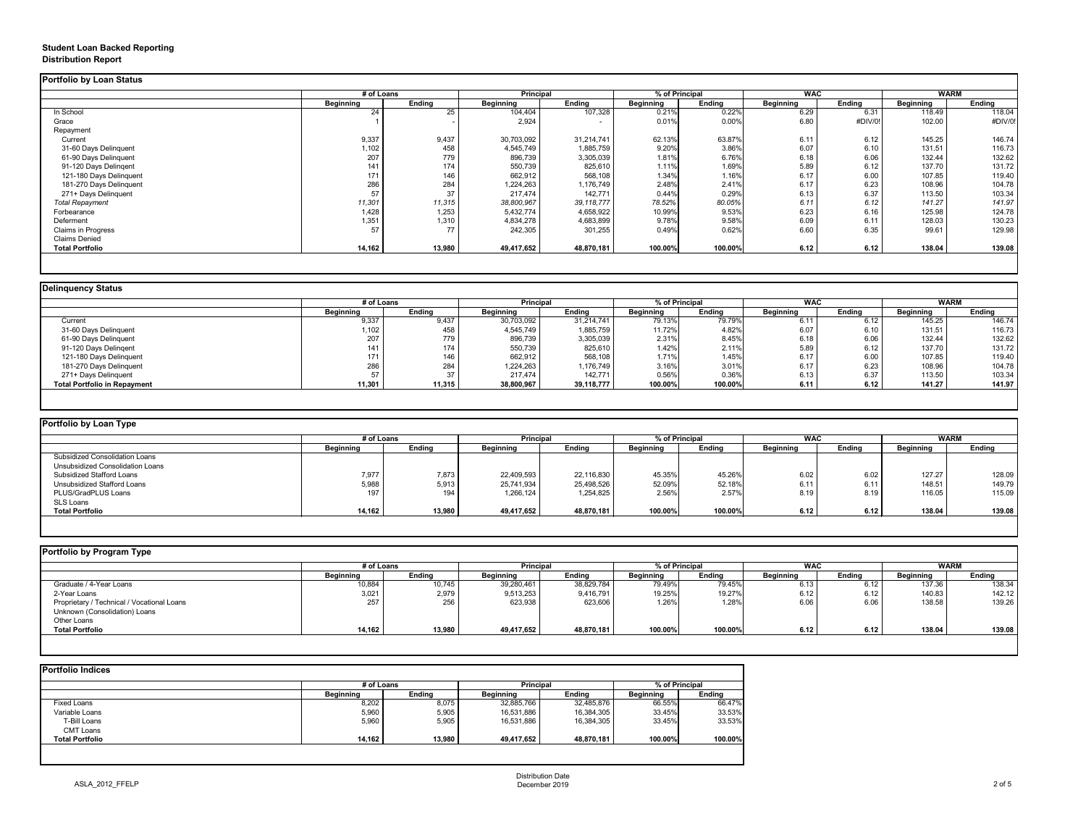## **Student Loan Backed Reporting Distribution Report**

|                           | # of Loans       |               | Principal        |               | % of Principal   |               | <b>WAC</b>       |               | <b>WARM</b>      |               |
|---------------------------|------------------|---------------|------------------|---------------|------------------|---------------|------------------|---------------|------------------|---------------|
|                           | <b>Beginning</b> | <b>Ending</b> | <b>Beginning</b> | <b>Ending</b> | <b>Beginning</b> | <b>Ending</b> | <b>Beginning</b> | <b>Ending</b> | <b>Beginning</b> | <b>Ending</b> |
| In School                 | 24               | 25            | 104,404          | 107,328       | 0.21%            | 0.22%         | 6.29             | 6.31          | 118.49           | 118.04        |
| Grace                     |                  |               | 2,924            |               | 0.01%            | 0.00%         | 6.80             | #DIV/0!       | 102.00           | #DIV/0!       |
| Repayment                 |                  |               |                  |               |                  |               |                  |               |                  |               |
| Current                   | 9,337            | 9,437         | 30,703,092       | 31,214,741    | 62.13%           | 63.87%        | 6.11             | 6.12          | 145.25           | 146.74        |
| 31-60 Days Delinquent     | 1,102            | 458           | 4,545,749        | 1,885,759     | 9.20%            | 3.86%         | 6.07             | 6.10          | 131.51           | 116.73        |
| 61-90 Days Delinquent     | 207              | 779           | 896,739          | 3,305,039     | 1.81%            | 6.76%         | 6.18             | 6.06          | 132.44           | 132.62        |
| 91-120 Days Delingent     | 141              | 174           | 550,739          | 825,610       | 1.11%            | 1.69%         | 5.89             | 6.12          | 137.70           | 131.72        |
| 121-180 Days Delinquent   | 171              | 146           | 662,912          | 568,108       | 1.34%            | 1.16%         | 6.17             | 6.00          | 107.85           | 119.40        |
| 181-270 Days Delinquent   | 286              | 284           | 1,224,263        | 1,176,749     | 2.48%            | 2.41%         | 6.17             | 6.23          | 108.96           | 104.78        |
| 271+ Days Delinquent      | 57               | 37            | 217,474          | 142,771       | 0.44%            | 0.29%         | 6.13             | 6.37          | 113.50           | 103.34        |
| <b>Total Repayment</b>    | 11,301           | 11,315        | 38,800,967       | 39,118,777    | 78.52%           | 80.05%        | 6.11             | 6.12          | 141.27           | 141.97        |
| Forbearance               | 1,428            | 1,253         | 5,432,774        | 4,658,922     | 10.99%           | 9.53%         | 6.23             | 6.16          | 125.98           | 124.78        |
| Deferment                 | 1,351            | 1,310         | 4,834,278        | 4,683,899     | 9.78%            | 9.58%         | 6.09             | 6.11          | 128.03           | 130.23        |
| <b>Claims in Progress</b> | 57               | 77            | 242,305          | 301,255       | 0.49%            | 0.62%         | 6.60             | 6.35          | 99.61            | 129.98        |
| <b>Claims Denied</b>      |                  |               |                  |               |                  |               |                  |               |                  |               |
| <b>Total Portfolio</b>    | 14,162           | 13,980        | 49,417,652       | 48,870,181    | 100.00%          | 100.00%       | 6.12             | 6.12          | 138.04           | 139.08        |

|                                     |                  | # of Loans    |                  | <b>Principal</b> | % of Principal |               | <b>WAC</b>       |        | <b>WARM</b>      |               |
|-------------------------------------|------------------|---------------|------------------|------------------|----------------|---------------|------------------|--------|------------------|---------------|
|                                     | <b>Beginning</b> | <b>Ending</b> | <b>Beginning</b> | <b>Ending</b>    | Beginning      | <b>Ending</b> | <b>Beginning</b> | Ending | <b>Beginning</b> | <b>Ending</b> |
| Current                             | 9,337            | 9,437         | 30,703,092       | 31,214,741       | 79.13%         | 79.79%        | 6.11             | 6.12   | 145.25           | 146.74        |
| 31-60 Days Delinquent               | 1,102            | 458           | 4,545,749        | 1,885,759        | 11.72%         | 4.82%         | 6.07             | 6.10   | 131.51           | 116.73        |
| 61-90 Days Delinquent               | 207              | 779           | 896,739          | 3,305,039        | 2.31%          | 8.45%         | 6.18             | 6.06   | 132.44           | 132.62        |
| 91-120 Days Delingent               | 141              | 174           | 550,739          | 825,610          | 1.42%          | 2.11%         | 5.89             | 6.12   | 137.70           | 131.72        |
| 121-180 Days Delinquent             | 171              | 146           | 662,912          | 568,108          | 1.71%          | 1.45%         | 6.17             | 6.00   | 107.85           | 119.40        |
| 181-270 Days Delinquent             | 286              | 284           | 1,224,263        | 1,176,749        | 3.16%          | 3.01%         | 6.17             | 6.23   | 108.96           | 104.78        |
| 271+ Days Delinquent                |                  | 37            | 217,474          | 142,771          | 0.56%          | 0.36%         | 6.13             | 6.37   | 113.50           | 103.34        |
| <b>Total Portfolio in Repayment</b> | 11,301           | 11,315        | 38,800,967       | 39,118,777       | 100.00%        | 100.00%       | 6.11             | 6.12   | 141.27           | 141.97        |

| Portfolio by Loan Type                |                  |               |                  |               |                              |               |                  |               |                  |        |
|---------------------------------------|------------------|---------------|------------------|---------------|------------------------------|---------------|------------------|---------------|------------------|--------|
|                                       | # of Loans       |               | <b>Principal</b> |               | % of Principal<br><b>WAC</b> |               |                  | WARM          |                  |        |
|                                       | <b>Beginning</b> | <b>Ending</b> | <b>Beginning</b> | <b>Ending</b> | <b>Beginning</b>             | <b>Ending</b> | <b>Beginning</b> | <b>Ending</b> | <b>Beginning</b> | Ending |
| <b>Subsidized Consolidation Loans</b> |                  |               |                  |               |                              |               |                  |               |                  |        |
| Unsubsidized Consolidation Loans      |                  |               |                  |               |                              |               |                  |               |                  |        |
| <b>Subsidized Stafford Loans</b>      | 7,977            | 7,873         | 22,409,593       | 22,116,830    | 45.35%                       | 45.26%        | 6.02             | 6.02          | 127.27           | 128.09 |
| Unsubsidized Stafford Loans           | 5,988            | 5,913         | 25,741,934       | 25,498,526    | 52.09%                       | 52.18%        | 6.11             | 6.11          | 148.51           | 149.79 |
| PLUS/GradPLUS Loans                   | 197              | 194           | 1,266,124        | 1,254,825     | 2.56%                        | 2.57%         | 8.19             | 8.19          | 116.05           | 115.09 |
| SLS Loans                             |                  |               |                  |               |                              |               |                  |               |                  |        |
| <b>Total Portfolio</b>                | 14,162           | 13,980        | 49,417,652       | 48,870,181    | 100.00%                      | 100.00%       | 6.12             | 6.12          | 138.04           | 139.08 |

|  |  | Portfolio by Program Type |  |
|--|--|---------------------------|--|
|--|--|---------------------------|--|

| Portfolio by Program Type                  |                  |               |                  |               |                  |               |                  |               |                  |               |
|--------------------------------------------|------------------|---------------|------------------|---------------|------------------|---------------|------------------|---------------|------------------|---------------|
|                                            | # of Loans       |               | <b>Principal</b> |               | % of Principal   |               | <b>WAC</b>       |               | <b>WARM</b>      |               |
|                                            | <b>Beginning</b> | <b>Ending</b> | <b>Beginning</b> | <b>Ending</b> | <b>Beginning</b> | <b>Ending</b> | <b>Beginning</b> | <b>Ending</b> | <b>Beginning</b> | <b>Ending</b> |
| Graduate / 4-Year Loans                    | 10,884           | 10,745        | 39,280,461       | 38,829,784    | 79.49%           | 79.45%        | 6.13             | 6.12          | 137.36           | 138.34        |
| 2-Year Loans                               | 3,021            | 2,979         | 9,513,253        | 9,416,791     | 19.25%           | 19.27%        | 6.12             | 6.12          | 140.83           | 142.12        |
| Proprietary / Technical / Vocational Loans | 257              | 256           | 623,938          | 623,606       | 1.26%            | 1.28%         | 6.06             | 6.06          | 138.58           | 139.26        |
| Unknown (Consolidation) Loans              |                  |               |                  |               |                  |               |                  |               |                  |               |
| Other Loans                                |                  |               |                  |               |                  |               |                  |               |                  |               |
| <b>Total Portfolio</b>                     | 14,162           | 13,980        | 49,417,652       | 48,870,181    | 100.00%          | 100.00%       | 6.12             | 6.12          | 138.04           | 139.08        |
|                                            |                  |               |                  |               |                  |               |                  |               |                  |               |

|                        |                  | # of Loans    |                  | <b>Principal</b> |                  | % of Principal |  |
|------------------------|------------------|---------------|------------------|------------------|------------------|----------------|--|
|                        | <b>Beginning</b> | <b>Ending</b> | <b>Beginning</b> | <b>Ending</b>    | <b>Beginning</b> | <b>Ending</b>  |  |
| <b>Fixed Loans</b>     | 8,202            | 8,075         | 32,885,766       | 32,485,876       | 66.55%           | 66.47%         |  |
| Variable Loans         | 5,960            | 5,905         | 16,531,886       | 16,384,305       | 33.45%           | 33.53%         |  |
| T-Bill Loans           | 5,960            | 5,905         | 16,531,886       | 16,384,305       | 33.45%           | 33.53%         |  |
| <b>CMT Loans</b>       |                  |               |                  |                  |                  |                |  |
| <b>Total Portfolio</b> | 14,162           | 13,980        | 49,417,652       | 48,870,181       | 100.00%          | 100.00%        |  |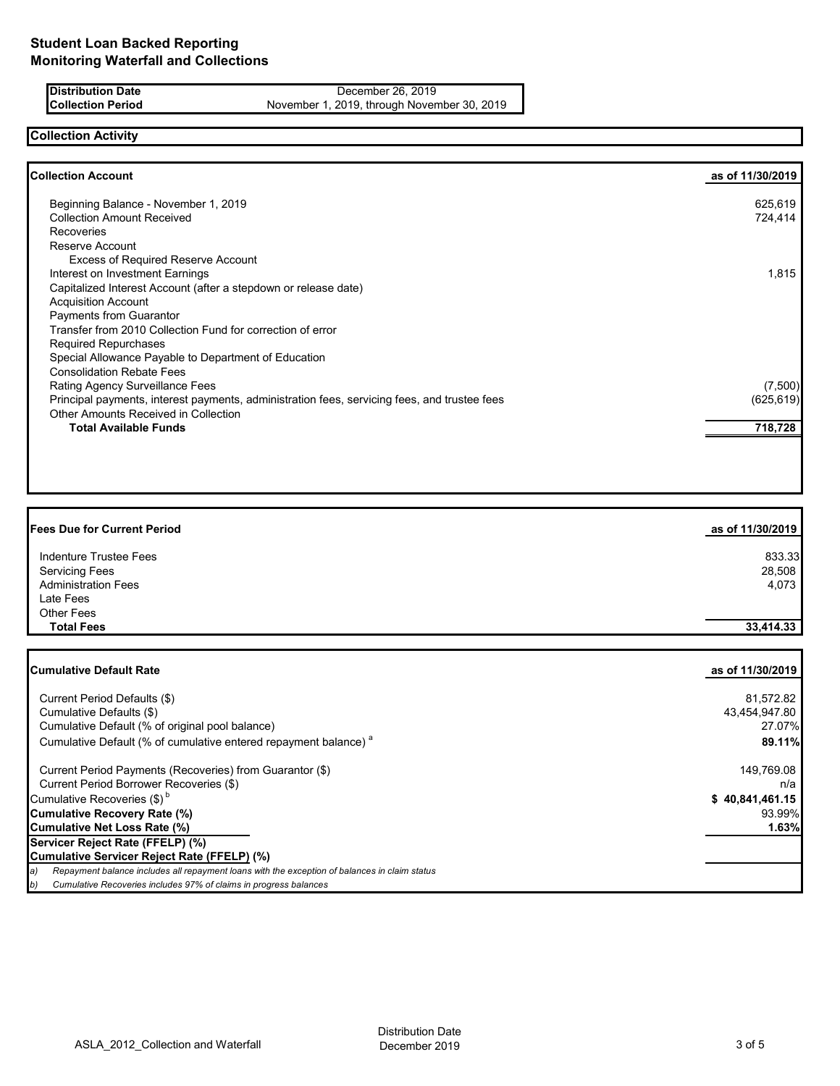**Distribution Date** December 26, 2019<br> **Collection Period** November 1, 2019, through Novem November 1, 2019, through November 30, 2019

### **Collection Activity**

| <b>Collection Account</b>                                                                    | as of 11/30/2019 |
|----------------------------------------------------------------------------------------------|------------------|
| Beginning Balance - November 1, 2019                                                         | 625,619          |
| <b>Collection Amount Received</b>                                                            | 724,414          |
| <b>Recoveries</b>                                                                            |                  |
| Reserve Account                                                                              |                  |
| <b>Excess of Required Reserve Account</b>                                                    |                  |
| Interest on Investment Earnings                                                              | 1,815            |
| Capitalized Interest Account (after a stepdown or release date)                              |                  |
| <b>Acquisition Account</b>                                                                   |                  |
| Payments from Guarantor                                                                      |                  |
| Transfer from 2010 Collection Fund for correction of error                                   |                  |
| <b>Required Repurchases</b>                                                                  |                  |
| Special Allowance Payable to Department of Education                                         |                  |
| <b>Consolidation Rebate Fees</b>                                                             |                  |
| Rating Agency Surveillance Fees                                                              | (7,500)          |
| Principal payments, interest payments, administration fees, servicing fees, and trustee fees | (625, 619)       |
| Other Amounts Received in Collection                                                         |                  |
| <b>Total Available Funds</b>                                                                 | 718,728          |
|                                                                                              |                  |

| <b>Fees Due for Current Period</b> | as of 11/30/2019 |
|------------------------------------|------------------|
| Indenture Trustee Fees             | 833.33           |
| <b>Servicing Fees</b>              | 28,508           |
| <b>Administration Fees</b>         | 4,073            |
| Late Fees                          |                  |
| <b>Other Fees</b>                  |                  |
| <b>Total Fees</b>                  | 33,414.33        |

| <b>Cumulative Default Rate</b>                                                                       | as of 11/30/2019 |
|------------------------------------------------------------------------------------------------------|------------------|
| Current Period Defaults (\$)                                                                         | 81,572.82        |
| Cumulative Defaults (\$)                                                                             | 43,454,947.80    |
| Cumulative Default (% of original pool balance)                                                      | 27.07%           |
| Cumulative Default (% of cumulative entered repayment balance) <sup>a</sup>                          | 89.11%           |
| Current Period Payments (Recoveries) from Guarantor (\$)                                             | 149,769.08       |
| Current Period Borrower Recoveries (\$)                                                              | n/a              |
| Cumulative Recoveries $(\$)^b$                                                                       | \$40,841,461.15  |
| Cumulative Recovery Rate (%)                                                                         | 93.99%           |
| Cumulative Net Loss Rate (%)                                                                         | 1.63%            |
| Servicer Reject Rate (FFELP) (%)                                                                     |                  |
| Cumulative Servicer Reject Rate (FFELP) (%)                                                          |                  |
| Repayment balance includes all repayment loans with the exception of balances in claim status<br>(a) |                  |
| Cumulative Recoveries includes 97% of claims in progress balances<br>b)                              |                  |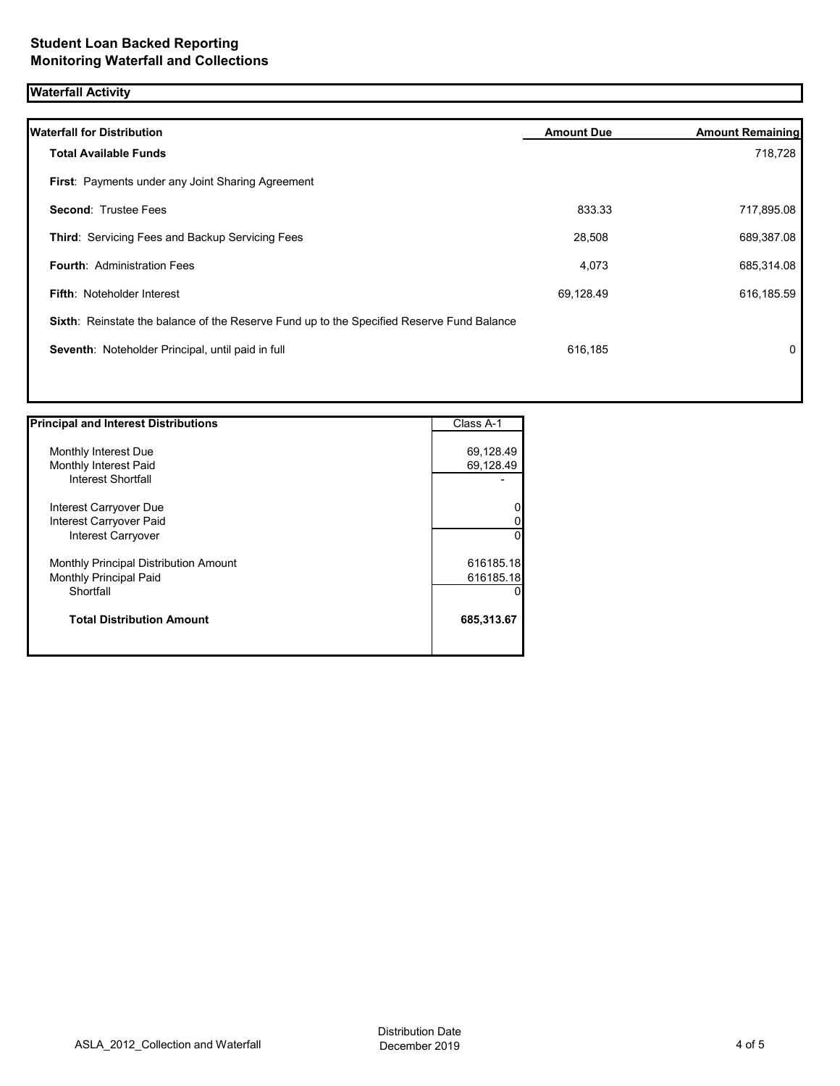## **Waterfall Activity**

|           | 718,728                                                                                   |
|-----------|-------------------------------------------------------------------------------------------|
|           |                                                                                           |
| 833.33    | 717,895.08                                                                                |
| 28,508    | 689,387.08                                                                                |
| 4,073     | 685,314.08                                                                                |
| 69,128.49 | 616,185.59                                                                                |
|           |                                                                                           |
| 616,185   | 0                                                                                         |
|           | Sixth: Reinstate the balance of the Reserve Fund up to the Specified Reserve Fund Balance |

| <b>Principal and Interest Distributions</b> | Class A-1    |
|---------------------------------------------|--------------|
|                                             |              |
| Monthly Interest Due                        | 69,128.49    |
| Monthly Interest Paid                       | 69,128.49    |
| <b>Interest Shortfall</b>                   |              |
| Interest Carryover Due                      | 0            |
| Interest Carryover Paid                     | 0            |
| Interest Carryover                          | $\mathbf{0}$ |
| Monthly Principal Distribution Amount       | 616185.18    |
| <b>Monthly Principal Paid</b>               | 616185.18    |
| Shortfall                                   | 0            |
| <b>Total Distribution Amount</b>            | 685,313.67   |
|                                             |              |